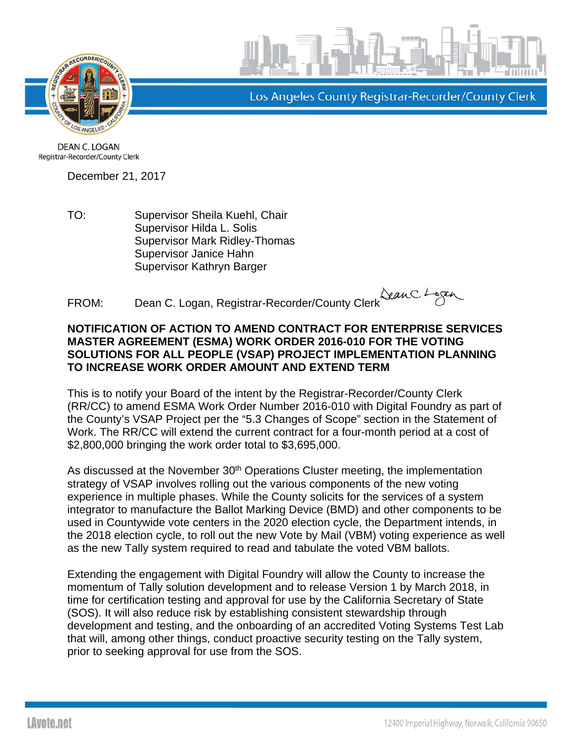



Los Angeles County Registrar-Recorder/County Clerk

**DEAN C. LOGAN** Registrar-Recorder/County Clerk

December 21, 2017

TO: Supervisor Sheila Kuehl, Chair Supervisor Hilda L. Solis Supervisor Mark Ridley-Thomas Supervisor Janice Hahn Supervisor Kathryn Barger

ROM: Dean C. Logan, Registrar-Recorder/County Clerk Legan

## **NOTIFICATION OF ACTION TO AMEND CONTRACT FOR ENTERPRISE SERVICES MASTER AGREEMENT (ESMA) WORK ORDER 2016-010 FOR THE VOTING SOLUTIONS FOR ALL PEOPLE (VSAP) PROJECT IMPLEMENTATION PLANNING TO INCREASE WORK ORDER AMOUNT AND EXTEND TERM**

This is to notify your Board of the intent by the Registrar-Recorder/County Clerk (RR/CC) to amend ESMA Work Order Number 2016-010 with Digital Foundry as part of the County's VSAP Project per the "5.3 Changes of Scope" section in the Statement of Work. The RR/CC will extend the current contract for a four-month period at a cost of \$2,800,000 bringing the work order total to \$3,695,000.

As discussed at the November 30<sup>th</sup> Operations Cluster meeting, the implementation strategy of VSAP involves rolling out the various components of the new voting experience in multiple phases. While the County solicits for the services of a system integrator to manufacture the Ballot Marking Device (BMD) and other components to be used in Countywide vote centers in the 2020 election cycle, the Department intends, in the 2018 election cycle, to roll out the new Vote by Mail (VBM) voting experience as well as the new Tally system required to read and tabulate the voted VBM ballots.

Extending the engagement with Digital Foundry will allow the County to increase the momentum of Tally solution development and to release Version 1 by March 2018, in time for certification testing and approval for use by the California Secretary of State (SOS). It will also reduce risk by establishing consistent stewardship through development and testing, and the onboarding of an accredited Voting Systems Test Lab that will, among other things, conduct proactive security testing on the Tally system, prior to seeking approval for use from the SOS.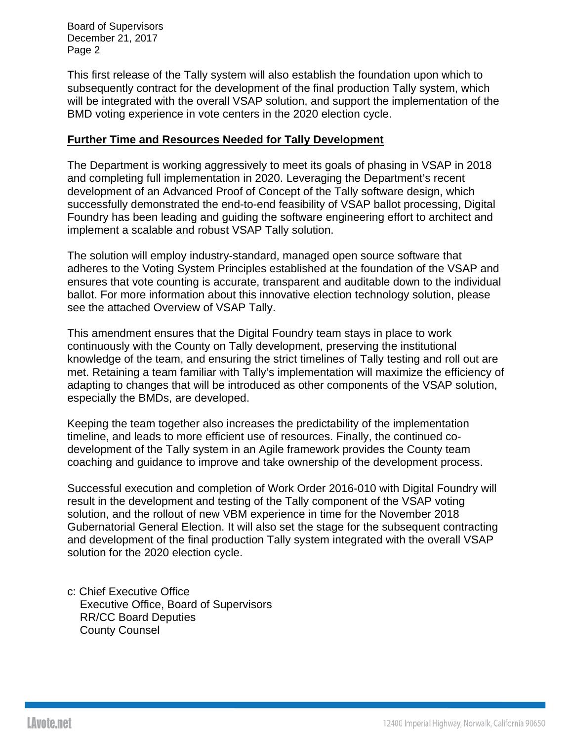Board of Supervisors December 21, 2017 Page 2

This first release of the Tally system will also establish the foundation upon which to subsequently contract for the development of the final production Tally system, which will be integrated with the overall VSAP solution, and support the implementation of the BMD voting experience in vote centers in the 2020 election cycle.

#### **Further Time and Resources Needed for Tally Development**

The Department is working aggressively to meet its goals of phasing in VSAP in 2018 and completing full implementation in 2020. Leveraging the Department's recent development of an Advanced Proof of Concept of the Tally software design, which successfully demonstrated the end-to-end feasibility of VSAP ballot processing, Digital Foundry has been leading and guiding the software engineering effort to architect and implement a scalable and robust VSAP Tally solution.

The solution will employ industry-standard, managed open source software that adheres to the Voting System Principles established at the foundation of the VSAP and ensures that vote counting is accurate, transparent and auditable down to the individual ballot. For more information about this innovative election technology solution, please see the attached Overview of VSAP Tally.

This amendment ensures that the Digital Foundry team stays in place to work continuously with the County on Tally development, preserving the institutional knowledge of the team, and ensuring the strict timelines of Tally testing and roll out are met. Retaining a team familiar with Tally's implementation will maximize the efficiency of adapting to changes that will be introduced as other components of the VSAP solution, especially the BMDs, are developed.

Keeping the team together also increases the predictability of the implementation timeline, and leads to more efficient use of resources. Finally, the continued codevelopment of the Tally system in an Agile framework provides the County team coaching and guidance to improve and take ownership of the development process.

Successful execution and completion of Work Order 2016-010 with Digital Foundry will result in the development and testing of the Tally component of the VSAP voting solution, and the rollout of new VBM experience in time for the November 2018 Gubernatorial General Election. It will also set the stage for the subsequent contracting and development of the final production Tally system integrated with the overall VSAP solution for the 2020 election cycle.

c: Chief Executive Office Executive Office, Board of Supervisors RR/CC Board Deputies County Counsel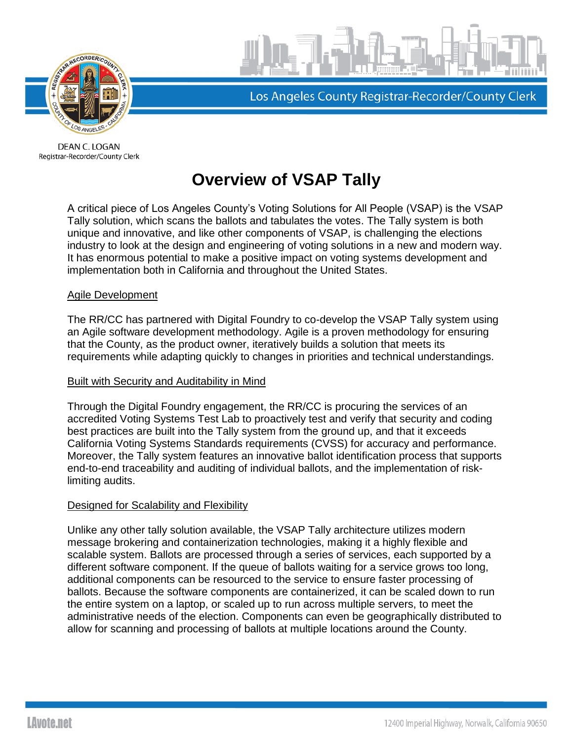

Los Angeles County Registrar-Recorder/County Clerk

DEAN C. LOGAN Registrar-Recorder/County Clerk

# **Overview of VSAP Tally**

A critical piece of Los Angeles County's Voting Solutions for All People (VSAP) is the VSAP Tally solution, which scans the ballots and tabulates the votes. The Tally system is both unique and innovative, and like other components of VSAP, is challenging the elections industry to look at the design and engineering of voting solutions in a new and modern way. It has enormous potential to make a positive impact on voting systems development and implementation both in California and throughout the United States.

#### Agile Development

The RR/CC has partnered with Digital Foundry to co-develop the VSAP Tally system using an Agile software development methodology. Agile is a proven methodology for ensuring that the County, as the product owner, iteratively builds a solution that meets its requirements while adapting quickly to changes in priorities and technical understandings.

#### Built with Security and Auditability in Mind

Through the Digital Foundry engagement, the RR/CC is procuring the services of an accredited Voting Systems Test Lab to proactively test and verify that security and coding best practices are built into the Tally system from the ground up, and that it exceeds California Voting Systems Standards requirements (CVSS) for accuracy and performance. Moreover, the Tally system features an innovative ballot identification process that supports end-to-end traceability and auditing of individual ballots, and the implementation of risklimiting audits.

### Designed for Scalability and Flexibility

Unlike any other tally solution available, the VSAP Tally architecture utilizes modern message brokering and containerization technologies, making it a highly flexible and scalable system. Ballots are processed through a series of services, each supported by a different software component. If the queue of ballots waiting for a service grows too long, additional components can be resourced to the service to ensure faster processing of ballots. Because the software components are containerized, it can be scaled down to run the entire system on a laptop, or scaled up to run across multiple servers, to meet the administrative needs of the election. Components can even be geographically distributed to allow for scanning and processing of ballots at multiple locations around the County.